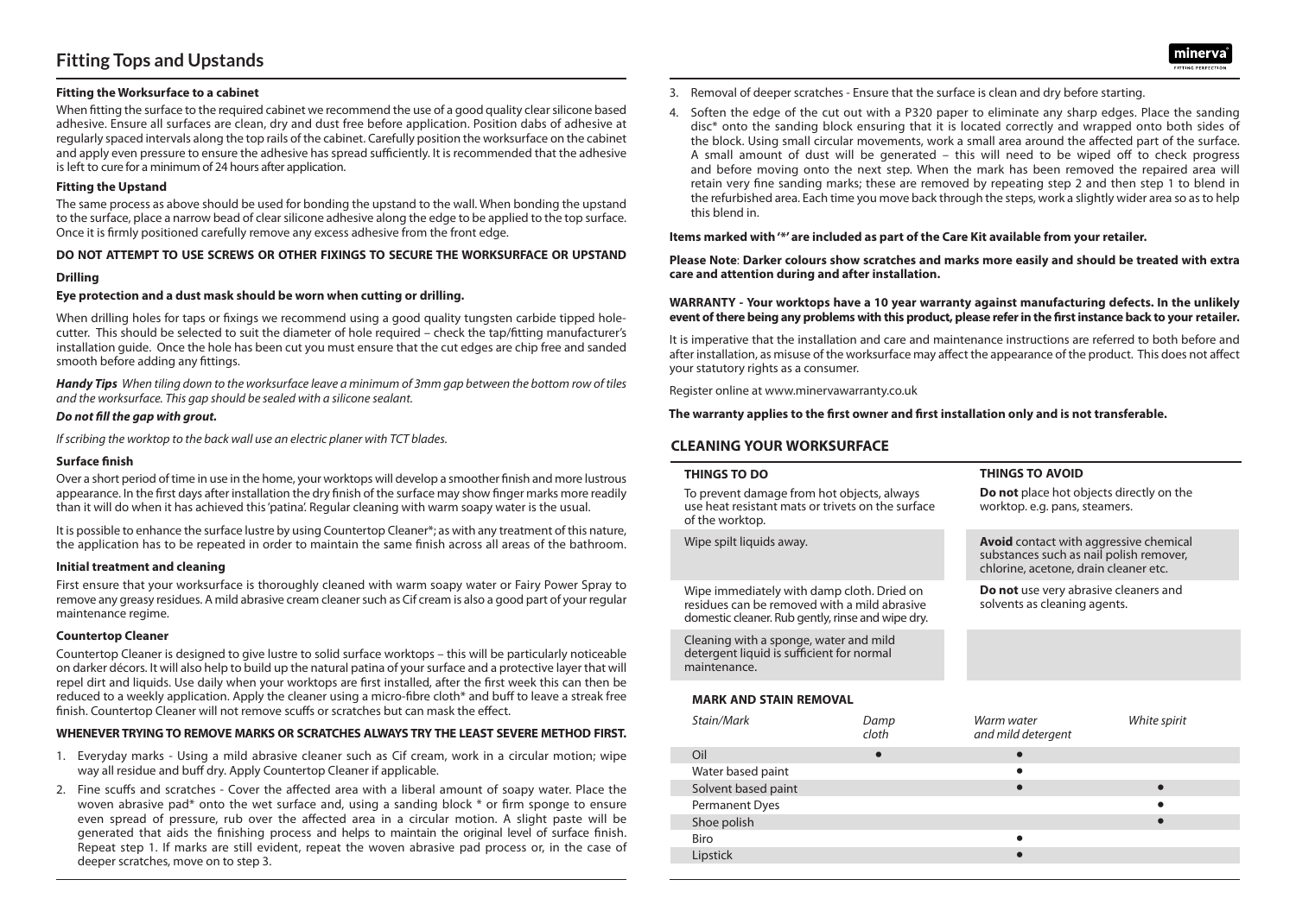# **Fitting Tops and Upstands**

### **Fitting the Worksurface to a cabinet**

When fitting the surface to the required cabinet we recommend the use of a good quality clear silicone based adhesive. Ensure all surfaces are clean, dry and dust free before application. Position dabs of adhesive at regularly spaced intervals along the top rails of the cabinet. Carefully position the worksurface on the cabinet and apply even pressure to ensure the adhesive hasspread sufficiently. It isrecommended that the adhesive is left to cure for a minimum of 24 hours after application.

#### **Fitting the Upstand**

The same process as above should be used for bonding the upstand to the wall. When bonding the upstand to the surface, place a narrow bead of clearsilicone adhesive along the edge to be applied to the top surface. Once it is firmly positioned carefully remove any excess adhesive from the front edge.

### **DO NOT ATTEMPT TO USE SCREWS OR OTHER FIXINGS TO SECURE THE WORKSURFACE OR UPSTAND**

### **Drilling**

### **Eye protection and a dust mask should be worn when cutting or drilling.**

When drilling holes for taps or fixings we recommend using a good quality tungsten carbide tipped holecutter. This should be selected to suit the diameter of hole required – check the tap/fitting manufacturer's installation guide. Once the hole has been cut you must ensure that the cut edges are chip free and sanded smooth before adding any fittings.

Handy Tips When tiling down to the worksurface leave a minimum of 3mm gap between the bottom row of tiles *and the worksurface. This gap should be sealed with a silicone sealant.*

#### *Do not fill the gap with grout.*

*Ifscribing the worktop to the back wall use an electric planer with TCT blades.*

### **Surface finish**

Over a short period of time in use in the home, your worktops will develop a smoother finish and more lustrous appearance. In the first days after installation the dry finish of the surface may show finger marks more readily than it will do when it has achieved this'patina'. Regular cleaning with warm soapy water is the usual.

It is possible to enhance the surface lustre by using Countertop Cleaner\*; as with any treatment of this nature, the application has to be repeated in order to maintain the same finish across all areas of the bathroom.

#### **Initial treatment and cleaning**

First ensure that your worksurface is thoroughly cleaned with warm soapy water or Fairy Power Spray to remove any greasy residues. A mild abrasive cream cleanersuch as Cif cream is also a good part of your regular maintenance regime.

#### **Countertop Cleaner**

Countertop Cleaner is designed to give lustre to solid surface worktops – this will be particularly noticeable on darker décors. It will also help to build up the natural patina of yoursurface and a protective layer that will repel dirt and liquids. Use daily when your worktops are first installed, after the first week this can then be reduced to a weekly application. Apply the cleaner using a micro-fibre cloth\* and buff to leave a streak free finish. Countertop Cleaner will not remove scuffs or scratches but can mask the effect.

## **WHENEVER TRYINGTO REMOVE MARKS OR SCRATCHES ALWAYS TRY THE LEAST SEVERE METHOD FIRST.**

- 1. Everyday marks Using a mild abrasive cleaner such as Cif cream, work in a circular motion; wipe way all residue and buff dry. Apply Countertop Cleaner if applicable.
- 2. Fine scuffs and scratches Cover the affected area with a liberal amount of soapy water. Place the woven abrasive pad\* onto the wet surface and, using a sanding block \* or firm sponge to ensure even spread of pressure, rub over the affected area in a circular motion. A slight paste will be generated that aids the finishing process and helps to maintain the original level of surface finish. Repeat step 1. If marks are still evident, repeat the woven abrasive pad process or, in the case of deeper scratches, move on to step 3.
- 3. Removal of deeper scratches Ensure that the surface is clean and dry before starting.
- 4. Soften the edge of the cut out with a P320 paper to eliminate any sharp edges. Place the sanding disc\* onto the sanding block ensuring that it is located correctly and wrapped onto both sides of the block. Using small circular movements, work a small area around the affected part of the surface. A small amount of dust will be generated – this will need to be wiped off to check progress and before moving onto the next step. When the mark has been removed the repaired area will retain very fine sanding marks; these are removed by repeating step 2 and then step 1 to blend in the refurbished area. Each time you move back through the steps, work a slightly wider area so asto help this blend in.

**Items marked with'\*' are included as part of the Care Kit available from your retailer.**

**Please Note**: **Darker colours show scratches and marks more easily and should be treated with extra care and attention during and after installation.**

**WARRANTY - Your worktops have a 10 year warranty against manufacturing defects. In the unlikely event ofthere being any problems with this product, please referin the firstinstance back to your retailer.**

It is imperative that the installation and care and maintenance instructions are referred to both before and after installation, as misuse of the worksurface may affect the appearance of the product. This does not affect your statutory rights as a consumer.

Register online at www.minervawarranty.co.uk

#### **The warranty applies to the first owner and first installation only and is not transferable.**

## **CLEANING YOUR WORKSURFACE**

| <b>THINGS TO DO</b>                                                                                                                             | <b>THINGS TO AVOID</b>                                                                                                            |  |
|-------------------------------------------------------------------------------------------------------------------------------------------------|-----------------------------------------------------------------------------------------------------------------------------------|--|
| To prevent damage from hot objects, always<br>use heat resistant mats or trivets on the surface<br>of the worktop.                              | <b>Do not</b> place hot objects directly on the<br>worktop. e.g. pans, steamers.                                                  |  |
| Wipe spilt liquids away.                                                                                                                        | <b>Avoid</b> contact with aggressive chemical<br>substances such as nail polish remover,<br>chlorine, acetone, drain cleaner etc. |  |
| Wipe immediately with damp cloth. Dried on<br>residues can be removed with a mild abrasive<br>domestic cleaner. Rub gently, rinse and wipe dry. | Do not use very abrasive cleaners and<br>solvents as cleaning agents.                                                             |  |
| Cleaning with a sponge, water and mild<br>detergent liquid is sufficient for normal<br>maintenance.                                             |                                                                                                                                   |  |
|                                                                                                                                                 |                                                                                                                                   |  |

## **MARK AND STAIN REMOVAL**

| Stain/Mark          | Damp<br>cloth | Warm water<br>and mild detergent | White spirit |
|---------------------|---------------|----------------------------------|--------------|
| Oil                 | $\bullet$     |                                  |              |
| Water based paint   |               |                                  |              |
| Solvent based paint |               |                                  |              |
| Permanent Dyes      |               |                                  |              |
| Shoe polish         |               |                                  |              |
| Biro                |               |                                  |              |
| Lipstick            |               |                                  |              |
|                     |               |                                  |              |